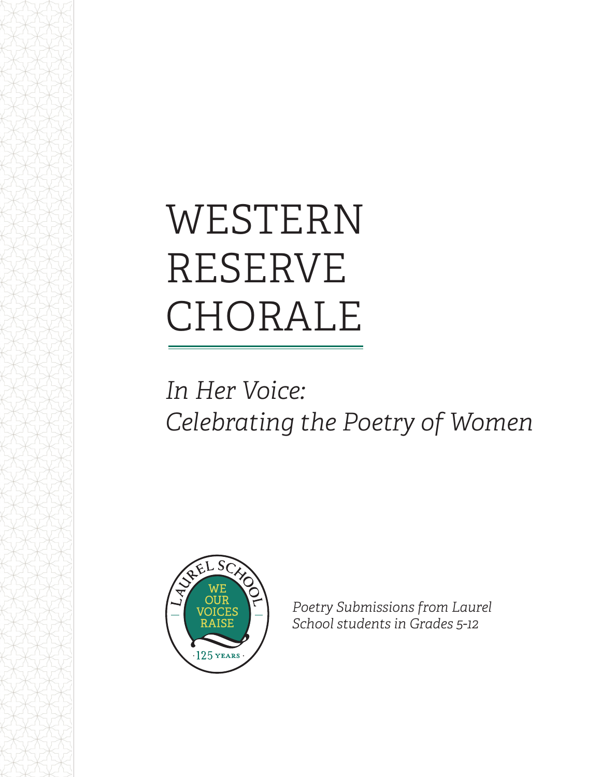# WESTERN RESERVE CHORALE

## *In Her Voice: Celebrating the Poetry of Women*



*Poetry Submissions from Laurel School students in Grades 5-12*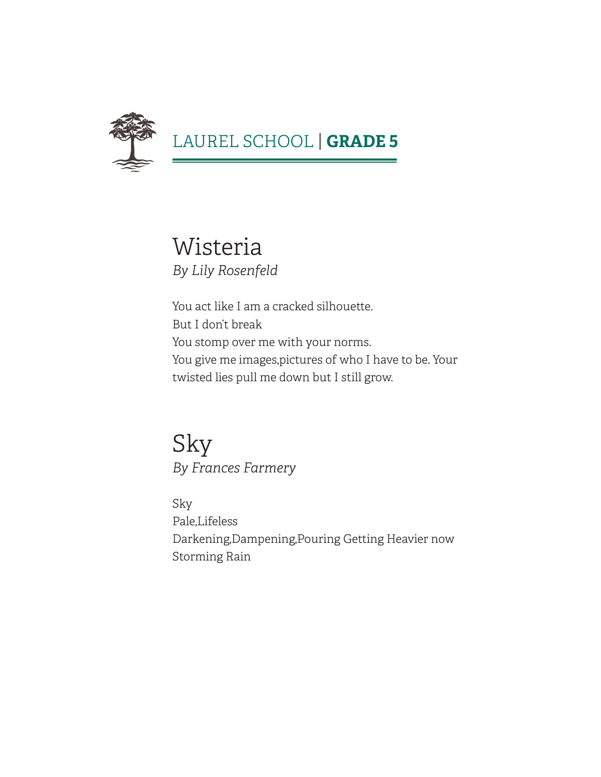

Wisteria *By Lily Rosenfeld*

You act like I am a cracked silhouette. But I don't break You stomp over me with your norms. You give me images,pictures of who I have to be. Your twisted lies pull me down but I still grow.

Sky *By Frances Farmery*

Sky Pale,Lifeless Darkening,Dampening,Pouring Getting Heavier now Storming Rain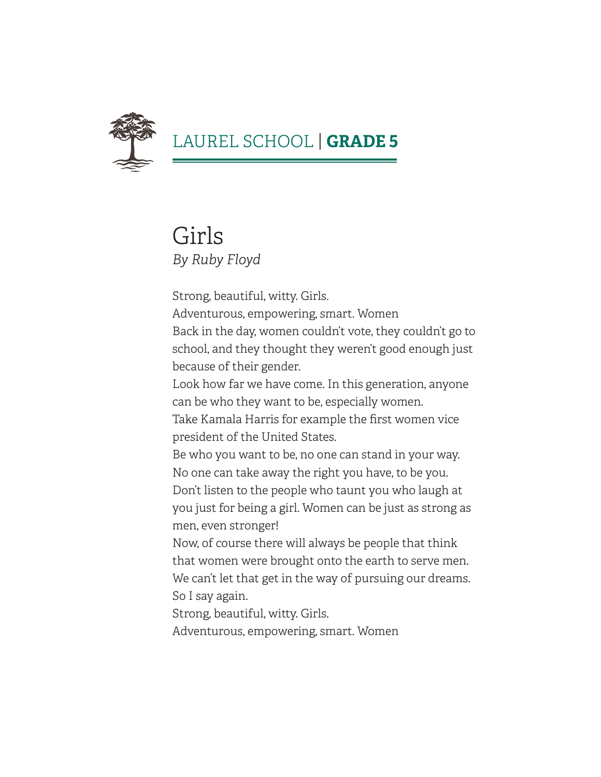

#### Girls *By Ruby Floyd*

Strong, beautiful, witty. Girls.

Adventurous, empowering, smart. Women Back in the day, women couldn't vote, they couldn't go to school, and they thought they weren't good enough just because of their gender.

Look how far we have come. In this generation, anyone can be who they want to be, especially women.

Take Kamala Harris for example the first women vice president of the United States.

Be who you want to be, no one can stand in your way. No one can take away the right you have, to be you. Don't listen to the people who taunt you who laugh at you just for being a girl. Women can be just as strong as men, even stronger!

Now, of course there will always be people that think that women were brought onto the earth to serve men. We can't let that get in the way of pursuing our dreams. So I say again.

Strong, beautiful, witty. Girls.

Adventurous, empowering, smart. Women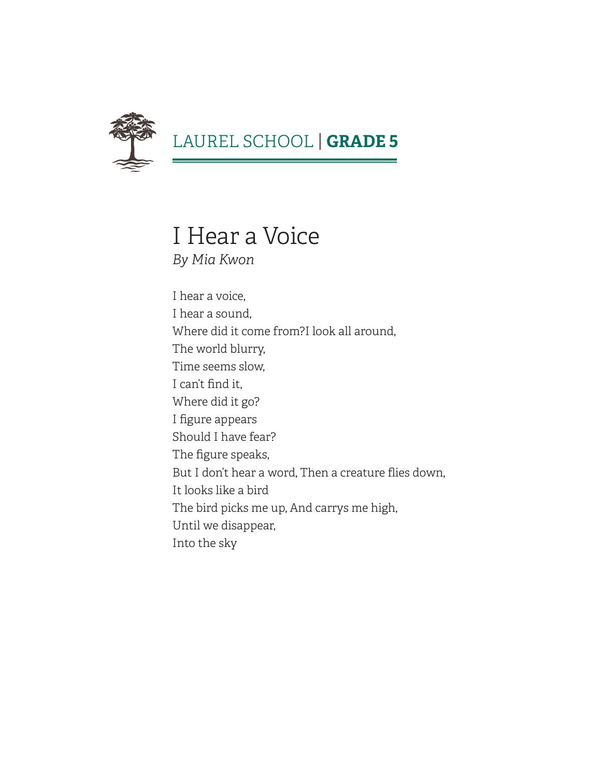

#### I Hear a Voice *By Mia Kwon*

I hear a voice, I hear a sound, Where did it come from?I look all around, The world blurry, Time seems slow, I can't find it, Where did it go? I figure appears Should I have fear? The figure speaks, But I don't hear a word, Then a creature flies down, It looks like a bird The bird picks me up, And carrys me high, Until we disappear, Into the sky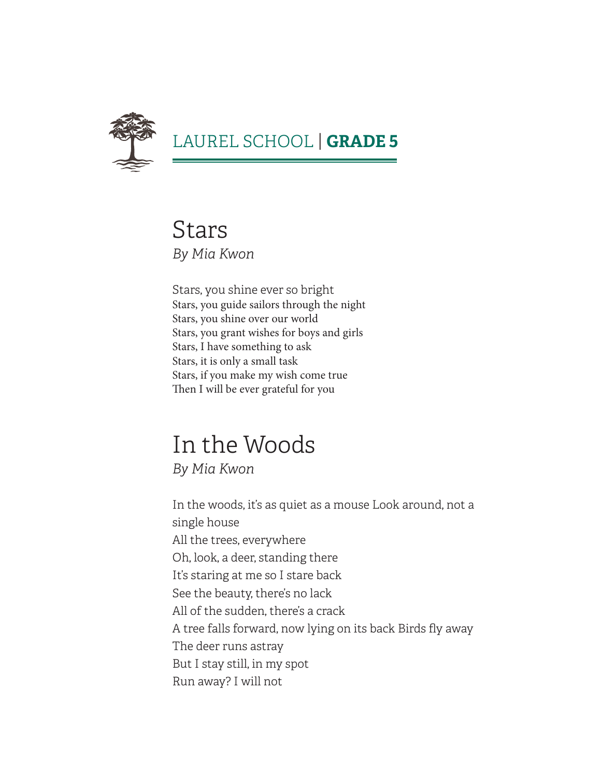

Stars *By Mia Kwon*

Stars, you shine ever so bright Stars, you guide sailors through the night Stars, you shine over our world Stars, you grant wishes for boys and girls Stars, I have something to ask Stars, it is only a small task Stars, if you make my wish come true Then I will be ever grateful for you

### In the Woods

*By Mia Kwon*

In the woods, it's as quiet as a mouse Look around, not a single house All the trees, everywhere Oh, look, a deer, standing there It's staring at me so I stare back See the beauty, there's no lack All of the sudden, there's a crack A tree falls forward, now lying on its back Birds fly away The deer runs astray But I stay still, in my spot Run away? I will not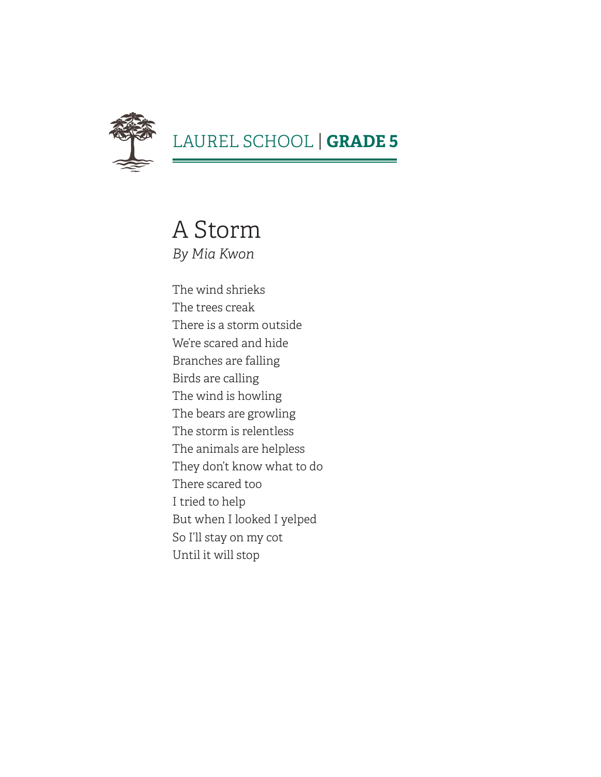

#### LAUREL SCHOOL | **GRADE 5**

A Storm *By Mia Kwon*

The wind shrieks The trees creak There is a storm outside We're scared and hide Branches are falling Birds are calling The wind is howling The bears are growling The storm is relentless The animals are helpless They don't know what to do There scared too I tried to help But when I looked I yelped So I'll stay on my cot Until it will stop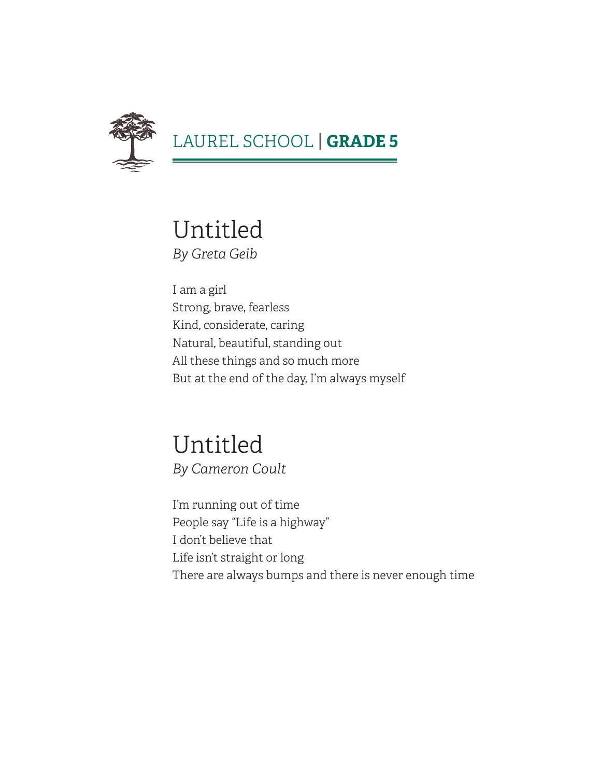

#### Untitled *By Greta Geib*

I am a girl Strong, brave, fearless Kind, considerate, caring Natural, beautiful, standing out All these things and so much more But at the end of the day, I'm always myself

#### Untitled *By Cameron Coult*

I'm running out of time People say "Life is a highway" I don't believe that Life isn't straight or long There are always bumps and there is never enough time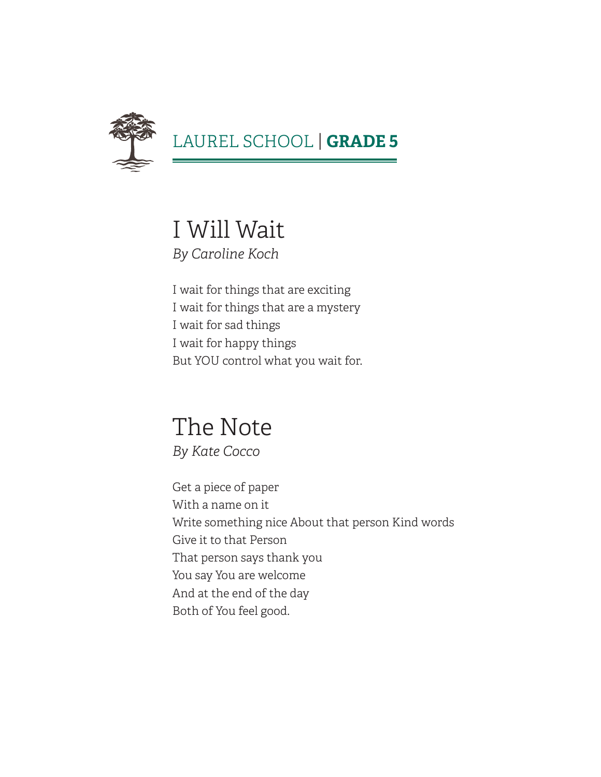

I Will Wait *By Caroline Koch*

I wait for things that are exciting I wait for things that are a mystery I wait for sad things I wait for happy things But YOU control what you wait for.

#### The Note *By Kate Cocco*

Get a piece of paper With a name on it Write something nice About that person Kind words Give it to that Person That person says thank you You say You are welcome And at the end of the day Both of You feel good.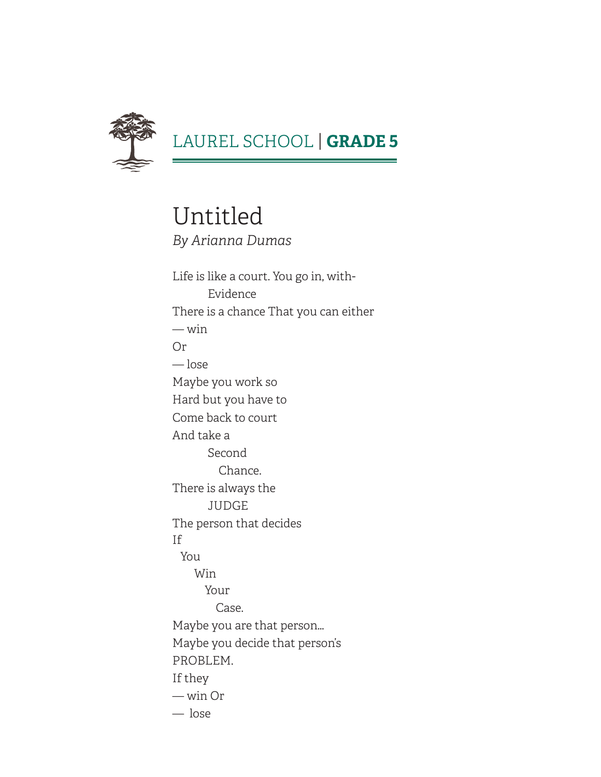

#### LAUREL SCHOOL | **GRADE 5**

Untitled *By Arianna Dumas*

Life is like a court. You go in, with-Evidence There is a chance That you can either — win Or — lose Maybe you work so Hard but you have to Come back to court And take a Second Chance. There is always the JUDGE The person that decides If You Win Your Case. Maybe you are that person… Maybe you decide that person's PROBLEM. If they — win Or — lose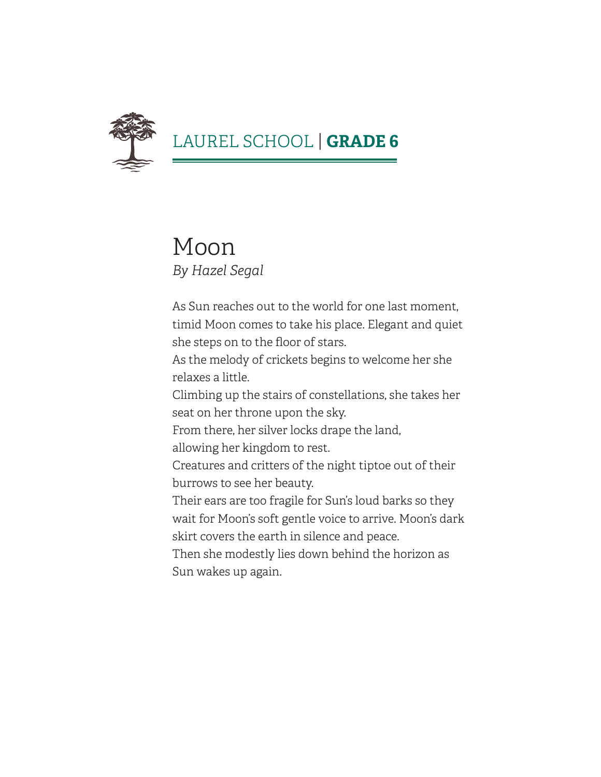

#### Moon *By Hazel Segal*

As Sun reaches out to the world for one last moment, timid Moon comes to take his place. Elegant and quiet she steps on to the floor of stars.

As the melody of crickets begins to welcome her she relaxes a little.

Climbing up the stairs of constellations, she takes her seat on her throne upon the sky.

From there, her silver locks drape the land,

allowing her kingdom to rest.

Creatures and critters of the night tiptoe out of their burrows to see her beauty.

Their ears are too fragile for Sun's loud barks so they wait for Moon's soft gentle voice to arrive. Moon's dark skirt covers the earth in silence and peace.

Then she modestly lies down behind the horizon as Sun wakes up again.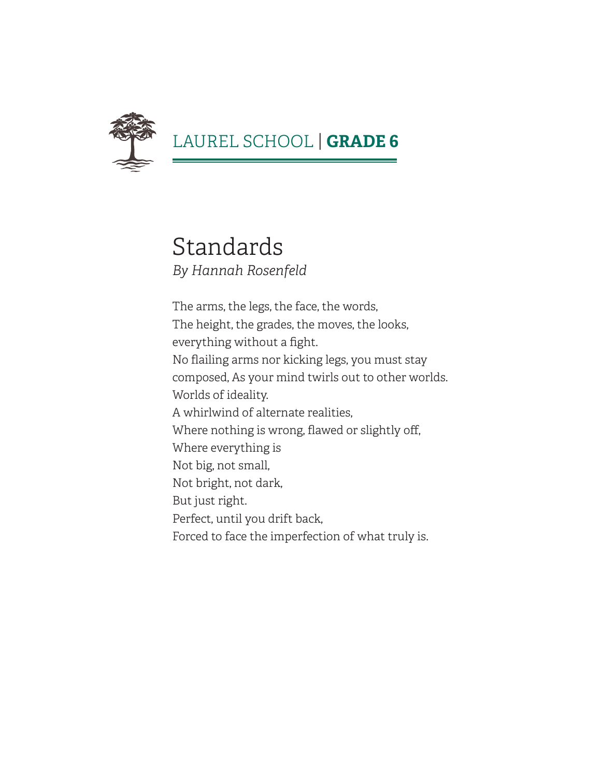

#### Standards *By Hannah Rosenfeld*

The arms, the legs, the face, the words, The height, the grades, the moves, the looks, everything without a fight. No flailing arms nor kicking legs, you must stay composed, As your mind twirls out to other worlds. Worlds of ideality. A whirlwind of alternate realities, Where nothing is wrong, flawed or slightly off, Where everything is Not big, not small, Not bright, not dark, But just right. Perfect, until you drift back, Forced to face the imperfection of what truly is.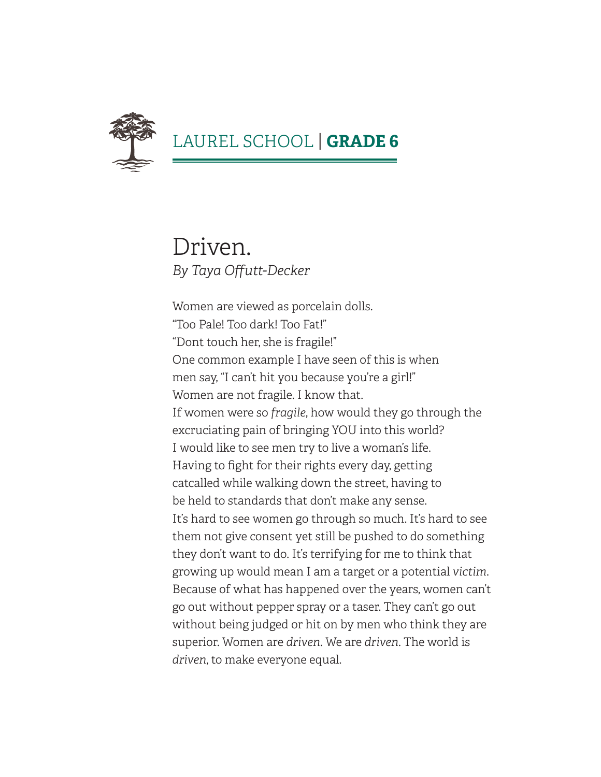

#### Driven. *By Taya Offutt-Decker*

Women are viewed as porcelain dolls. "Too Pale! Too dark! Too Fat!" "Dont touch her, she is fragile!" One common example I have seen of this is when men say, "I can't hit you because you're a girl!" Women are not fragile. I know that. If women were so *fragile*, how would they go through the excruciating pain of bringing YOU into this world? I would like to see men try to live a woman's life. Having to fight for their rights every day, getting catcalled while walking down the street, having to be held to standards that don't make any sense. It's hard to see women go through so much. It's hard to see them not give consent yet still be pushed to do something they don't want to do. It's terrifying for me to think that growing up would mean I am a target or a potential *victim*. Because of what has happened over the years, women can't go out without pepper spray or a taser. They can't go out without being judged or hit on by men who think they are superior. Women are *driven*. We are *driven*. The world is *driven*, to make everyone equal.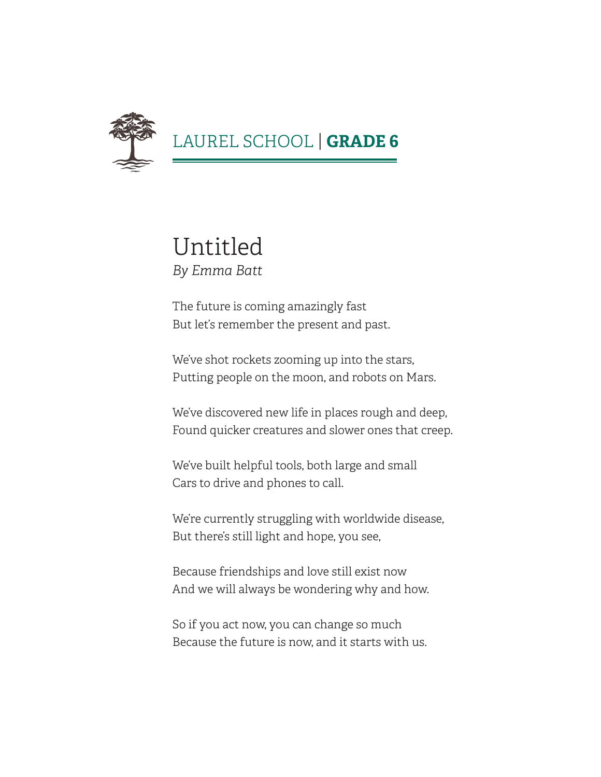

#### Untitled *By Emma Batt*

The future is coming amazingly fast But let's remember the present and past.

We've shot rockets zooming up into the stars, Putting people on the moon, and robots on Mars.

We've discovered new life in places rough and deep, Found quicker creatures and slower ones that creep.

We've built helpful tools, both large and small Cars to drive and phones to call.

We're currently struggling with worldwide disease, But there's still light and hope, you see,

Because friendships and love still exist now And we will always be wondering why and how.

So if you act now, you can change so much Because the future is now, and it starts with us.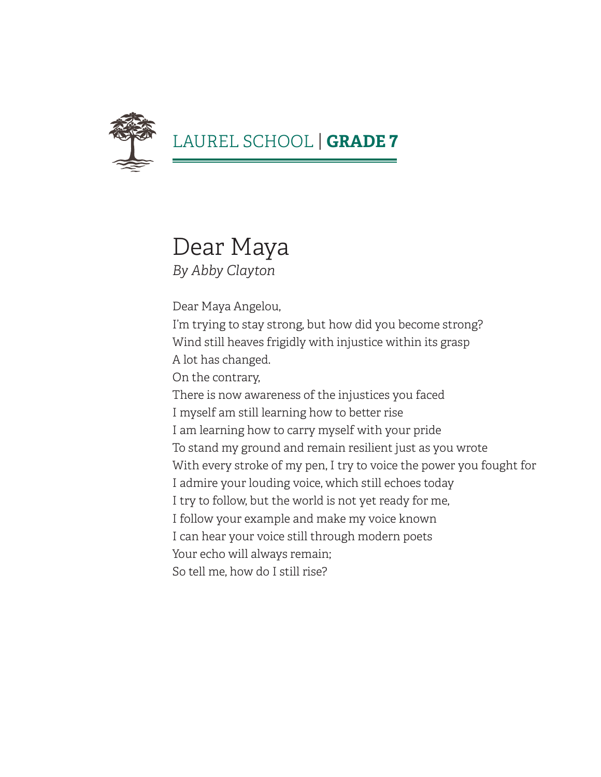

# Dear Maya

*By Abby Clayton*

Dear Maya Angelou,

I'm trying to stay strong, but how did you become strong? Wind still heaves frigidly with injustice within its grasp A lot has changed.

On the contrary,

There is now awareness of the injustices you faced I myself am still learning how to better rise I am learning how to carry myself with your pride To stand my ground and remain resilient just as you wrote With every stroke of my pen, I try to voice the power you fought for I admire your louding voice, which still echoes today I try to follow, but the world is not yet ready for me, I follow your example and make my voice known I can hear your voice still through modern poets Your echo will always remain; So tell me, how do I still rise?